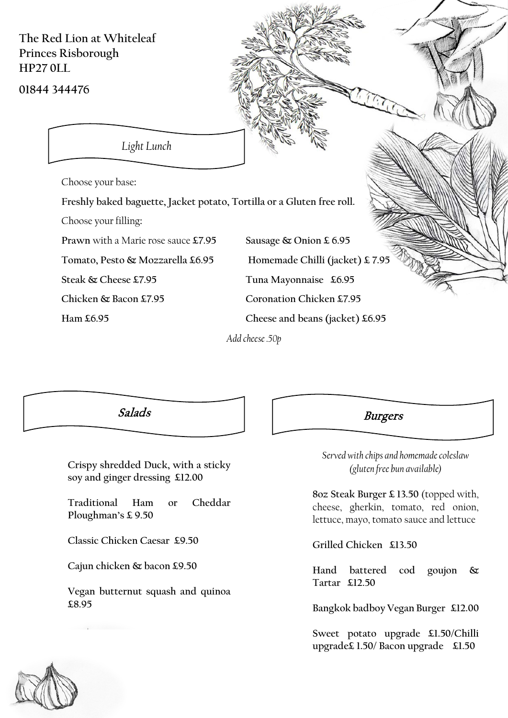**The Red Lion at Whiteleaf Princes Risborough HP27 0LL**

**01844 344476**

*Light Lunch*

Choose your base**:**

**Freshly baked baguette, Jacket potato, Tortilla or a Gluten free roll.**

Choose your filling**:**

**Prawn** with a Marie rose sauce **£7.95 Sausage & Onion £ 6.95 Tomato, Pesto & Mozzarella £6.95 Homemade Chilli (jacket) £ 7.95 Steak & Cheese £7.95 Tuna Mayonnaise £6.95 Chicken & Bacon £7.95 Coronation Chicken £7.95 Ham £6.95 Cheese and beans (jacket) £6.95**

*Add cheese .50p*

**Crispy shredded Duck, with a sticky soy and ginger dressing £12.00**

**Traditional Ham or Cheddar Ploughman's £ 9.50**

**Classic Chicken Caesar £9.50**

**Cajun chicken & bacon £9.50**

**Vegan butternut squash and quinoa £8.95**

## Salads **Burgers**

*Served with chips and homemade coleslaw (gluten free bun available)* 

**8oz Steak Burger £ 13.50** (topped with, cheese, gherkin, tomato, red onion, lettuce, mayo, tomato sauce and lettuce

**Grilled Chicken £13.50** 

**Hand battered cod goujon & Tartar £12.50**

**Bangkok badboy Vegan Burger £12.00**

**Sweet potato upgrade £1.50/Chilli upgrade£ 1.50/ Bacon upgrade £1.50**